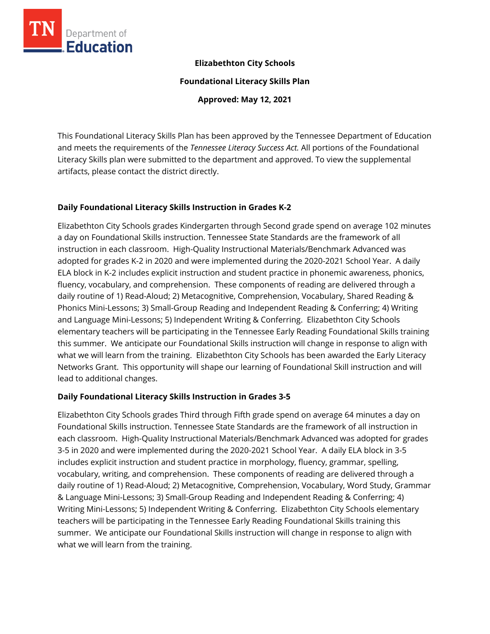

# **Elizabethton City Schools**

**Foundational Literacy Skills Plan**

**Approved: May 12, 2021**

This Foundational Literacy Skills Plan has been approved by the Tennessee Department of Education and meets the requirements of the *Tennessee Literacy Success Act.* All portions of the Foundational Literacy Skills plan were submitted to the department and approved. To view the supplemental artifacts, please contact the district directly.

# **Daily Foundational Literacy Skills Instruction in Grades K-2**

Elizabethton City Schools grades Kindergarten through Second grade spend on average 102 minutes a day on Foundational Skills instruction. Tennessee State Standards are the framework of all instruction in each classroom. High-Quality Instructional Materials/Benchmark Advanced was adopted for grades K-2 in 2020 and were implemented during the 2020-2021 School Year. A daily ELA block in K-2 includes explicit instruction and student practice in phonemic awareness, phonics, fluency, vocabulary, and comprehension. These components of reading are delivered through a daily routine of 1) Read-Aloud; 2) Metacognitive, Comprehension, Vocabulary, Shared Reading & Phonics Mini-Lessons; 3) Small-Group Reading and Independent Reading & Conferring; 4) Writing and Language Mini-Lessons; 5) Independent Writing & Conferring. Elizabethton City Schools elementary teachers will be participating in the Tennessee Early Reading Foundational Skills training this summer. We anticipate our Foundational Skills instruction will change in response to align with what we will learn from the training. Elizabethton City Schools has been awarded the Early Literacy Networks Grant. This opportunity will shape our learning of Foundational Skill instruction and will lead to additional changes.

# **Daily Foundational Literacy Skills Instruction in Grades 3-5**

Elizabethton City Schools grades Third through Fifth grade spend on average 64 minutes a day on Foundational Skills instruction. Tennessee State Standards are the framework of all instruction in each classroom. High-Quality Instructional Materials/Benchmark Advanced was adopted for grades 3-5 in 2020 and were implemented during the 2020-2021 School Year. A daily ELA block in 3-5 includes explicit instruction and student practice in morphology, fluency, grammar, spelling, vocabulary, writing, and comprehension. These components of reading are delivered through a daily routine of 1) Read-Aloud; 2) Metacognitive, Comprehension, Vocabulary, Word Study, Grammar & Language Mini-Lessons; 3) Small-Group Reading and Independent Reading & Conferring; 4) Writing Mini-Lessons; 5) Independent Writing & Conferring. Elizabethton City Schools elementary teachers will be participating in the Tennessee Early Reading Foundational Skills training this summer. We anticipate our Foundational Skills instruction will change in response to align with what we will learn from the training.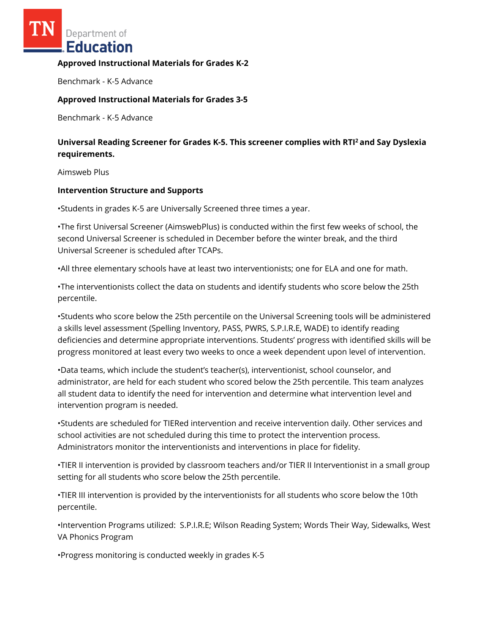Department of **Education** 

#### **Approved Instructional Materials for Grades K-2**

Benchmark - K-5 Advance

### **Approved Instructional Materials for Grades 3-5**

Benchmark - K-5 Advance

# **Universal Reading Screener for Grades K-5. This screener complies with RTI<sup>2</sup>and Say Dyslexia requirements.**

Aimsweb Plus

#### **Intervention Structure and Supports**

•Students in grades K-5 are Universally Screened three times a year.

•The first Universal Screener (AimswebPlus) is conducted within the first few weeks of school, the second Universal Screener is scheduled in December before the winter break, and the third Universal Screener is scheduled after TCAPs.

•All three elementary schools have at least two interventionists; one for ELA and one for math.

•The interventionists collect the data on students and identify students who score below the 25th percentile.

•Students who score below the 25th percentile on the Universal Screening tools will be administered a skills level assessment (Spelling Inventory, PASS, PWRS, S.P.I.R.E, WADE) to identify reading deficiencies and determine appropriate interventions. Students' progress with identified skills will be progress monitored at least every two weeks to once a week dependent upon level of intervention.

•Data teams, which include the student's teacher(s), interventionist, school counselor, and administrator, are held for each student who scored below the 25th percentile. This team analyzes all student data to identify the need for intervention and determine what intervention level and intervention program is needed.

•Students are scheduled for TIERed intervention and receive intervention daily. Other services and school activities are not scheduled during this time to protect the intervention process. Administrators monitor the interventionists and interventions in place for fidelity.

•TIER II intervention is provided by classroom teachers and/or TIER II Interventionist in a small group setting for all students who score below the 25th percentile.

•TIER III intervention is provided by the interventionists for all students who score below the 10th percentile.

•Intervention Programs utilized: S.P.I.R.E; Wilson Reading System; Words Their Way, Sidewalks, West VA Phonics Program

•Progress monitoring is conducted weekly in grades K-5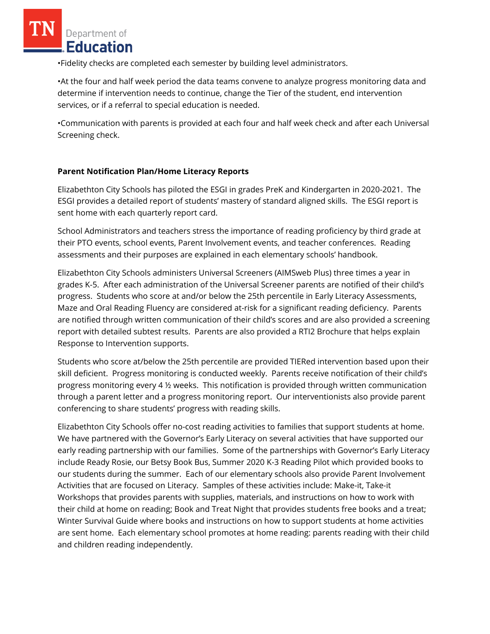Department of **Education** 

•Fidelity checks are completed each semester by building level administrators.

•At the four and half week period the data teams convene to analyze progress monitoring data and determine if intervention needs to continue, change the Tier of the student, end intervention services, or if a referral to special education is needed.

•Communication with parents is provided at each four and half week check and after each Universal Screening check.

# **Parent Notification Plan/Home Literacy Reports**

Elizabethton City Schools has piloted the ESGI in grades PreK and Kindergarten in 2020-2021. The ESGI provides a detailed report of students' mastery of standard aligned skills. The ESGI report is sent home with each quarterly report card.

School Administrators and teachers stress the importance of reading proficiency by third grade at their PTO events, school events, Parent Involvement events, and teacher conferences. Reading assessments and their purposes are explained in each elementary schools' handbook.

Elizabethton City Schools administers Universal Screeners (AIMSweb Plus) three times a year in grades K-5. After each administration of the Universal Screener parents are notified of their child's progress. Students who score at and/or below the 25th percentile in Early Literacy Assessments, Maze and Oral Reading Fluency are considered at-risk for a significant reading deficiency. Parents are notified through written communication of their child's scores and are also provided a screening report with detailed subtest results. Parents are also provided a RTI2 Brochure that helps explain Response to Intervention supports.

Students who score at/below the 25th percentile are provided TIERed intervention based upon their skill deficient. Progress monitoring is conducted weekly. Parents receive notification of their child's progress monitoring every 4 ½ weeks. This notification is provided through written communication through a parent letter and a progress monitoring report. Our interventionists also provide parent conferencing to share students' progress with reading skills.

Elizabethton City Schools offer no-cost reading activities to families that support students at home. We have partnered with the Governor's Early Literacy on several activities that have supported our early reading partnership with our families. Some of the partnerships with Governor's Early Literacy include Ready Rosie, our Betsy Book Bus, Summer 2020 K-3 Reading Pilot which provided books to our students during the summer. Each of our elementary schools also provide Parent Involvement Activities that are focused on Literacy. Samples of these activities include: Make-it, Take-it Workshops that provides parents with supplies, materials, and instructions on how to work with their child at home on reading; Book and Treat Night that provides students free books and a treat; Winter Survival Guide where books and instructions on how to support students at home activities are sent home. Each elementary school promotes at home reading: parents reading with their child and children reading independently.